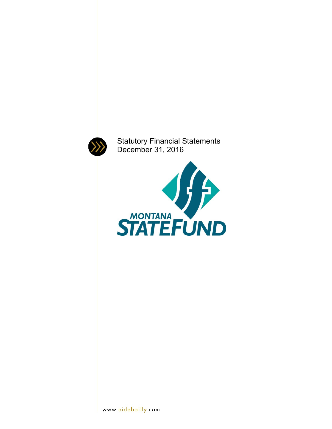

Statutory Financial Statements December 31, 2016

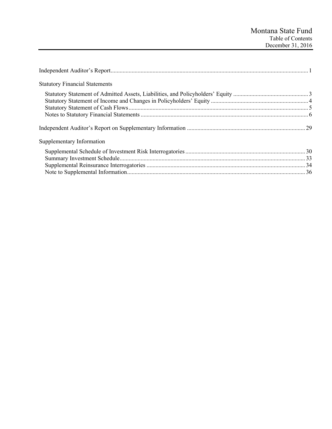| <b>Statutory Financial Statements</b> |  |
|---------------------------------------|--|
|                                       |  |
|                                       |  |
|                                       |  |
|                                       |  |
|                                       |  |
| Supplementary Information             |  |
|                                       |  |
|                                       |  |
|                                       |  |
|                                       |  |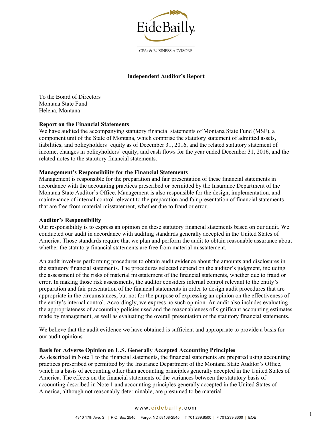

### **Independent Auditor's Report**

To the Board of Directors Montana State Fund Helena, Montana

#### **Report on the Financial Statements**

We have audited the accompanying statutory financial statements of Montana State Fund (MSF), a component unit of the State of Montana, which comprise the statutory statement of admitted assets, liabilities, and policyholders' equity as of December 31, 2016, and the related statutory statement of income, changes in policyholders' equity, and cash flows for the year ended December 31, 2016, and the related notes to the statutory financial statements.

#### **Management's Responsibility for the Financial Statements**

Management is responsible for the preparation and fair presentation of these financial statements in accordance with the accounting practices prescribed or permitted by the Insurance Department of the Montana State Auditor's Office. Management is also responsible for the design, implementation, and maintenance of internal control relevant to the preparation and fair presentation of financial statements that are free from material misstatement, whether due to fraud or error.

#### **Auditor's Responsibility**

Our responsibility is to express an opinion on these statutory financial statements based on our audit. We conducted our audit in accordance with auditing standards generally accepted in the United States of America. Those standards require that we plan and perform the audit to obtain reasonable assurance about whether the statutory financial statements are free from material misstatement.

An audit involves performing procedures to obtain audit evidence about the amounts and disclosures in the statutory financial statements. The procedures selected depend on the auditor's judgment, including the assessment of the risks of material misstatement of the financial statements, whether due to fraud or error. In making those risk assessments, the auditor considers internal control relevant to the entity's preparation and fair presentation of the financial statements in order to design audit procedures that are appropriate in the circumstances, but not for the purpose of expressing an opinion on the effectiveness of the entity's internal control. Accordingly, we express no such opinion. An audit also includes evaluating the appropriateness of accounting policies used and the reasonableness of significant accounting estimates made by management, as well as evaluating the overall presentation of the statutory financial statements.

We believe that the audit evidence we have obtained is sufficient and appropriate to provide a basis for our audit opinions.

#### **Basis for Adverse Opinion on U.S. Generally Accepted Accounting Principles**

As described in Note 1 to the financial statements, the financial statements are prepared using accounting practices prescribed or permitted by the Insurance Department of the Montana State Auditor's Office, which is a basis of accounting other than accounting principles generally accepted in the United States of America. The effects on the financial statements of the variances between the statutory basis of accounting described in Note 1 and accounting principles generally accepted in the United States of America, although not reasonably determinable, are presumed to be material.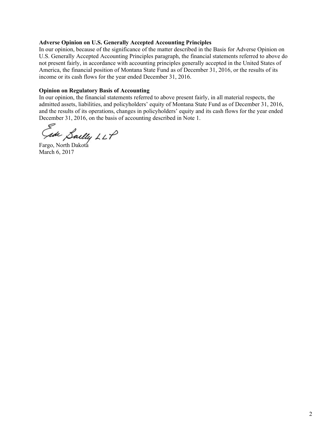#### **Adverse Opinion on U.S. Generally Accepted Accounting Principles**

In our opinion, because of the significance of the matter described in the Basis for Adverse Opinion on U.S. Generally Accepted Accounting Principles paragraph, the financial statements referred to above do not present fairly, in accordance with accounting principles generally accepted in the United States of America, the financial position of Montana State Fund as of December 31, 2016, or the results of its income or its cash flows for the year ended December 31, 2016.

#### **Opinion on Regulatory Basis of Accounting**

In our opinion, the financial statements referred to above present fairly, in all material respects, the admitted assets, liabilities, and policyholders' equity of Montana State Fund as of December 31, 2016, and the results of its operations, changes in policyholders' equity and its cash flows for the year ended December 31, 2016, on the basis of accounting described in Note 1.

Sailly LLP<br>Fargo, North Dakota

March 6, 2017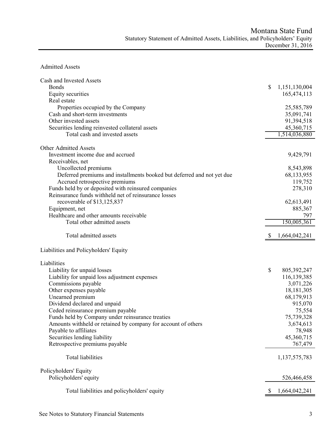# Admitted Assets

| Cash and Invested Assets                                               |    |               |
|------------------------------------------------------------------------|----|---------------|
| <b>Bonds</b>                                                           | \$ | 1,151,130,004 |
| <b>Equity securities</b>                                               |    | 165,474,113   |
| Real estate                                                            |    |               |
| Properties occupied by the Company                                     |    | 25,585,789    |
| Cash and short-term investments                                        |    | 35,091,741    |
| Other invested assets                                                  |    | 91,394,518    |
| Securities lending reinvested collateral assets                        |    | 45,360,715    |
| Total cash and invested assets                                         |    | 1,514,036,880 |
|                                                                        |    |               |
| <b>Other Admitted Assets</b>                                           |    |               |
| Investment income due and accrued                                      |    | 9,429,791     |
| Receivables, net                                                       |    |               |
| Uncollected premiums                                                   |    | 8,543,898     |
| Deferred premiums and installments booked but deferred and not yet due |    | 68,133,955    |
| Accrued retrospective premiums                                         |    | 119,752       |
| Funds held by or deposited with reinsured companies                    |    | 278,310       |
| Reinsurance funds withheld net of reinsurance losses                   |    |               |
| recoverable of \$13,125,837                                            |    | 62,613,491    |
| Equipment, net                                                         |    | 885,367       |
| Healthcare and other amounts receivable                                |    | 797           |
| Total other admitted assets                                            |    | 150,005,361   |
|                                                                        |    |               |
| Total admitted assets                                                  | S  | 1,664,042,241 |
|                                                                        |    |               |
| Liabilities and Policyholders' Equity                                  |    |               |
| Liabilities                                                            |    |               |
| Liability for unpaid losses                                            | \$ | 805, 392, 247 |
| Liability for unpaid loss adjustment expenses                          |    | 116,139,385   |
| Commissions payable                                                    |    | 3,071,226     |
| Other expenses payable                                                 |    | 18,181,305    |
| Unearned premium                                                       |    | 68,179,913    |
| Dividend declared and unpaid                                           |    | 915,070       |
| Ceded reinsurance premium payable                                      |    | 75,554        |
| Funds held by Company under reinsurance treaties                       |    | 75,739,328    |
| Amounts withheld or retained by company for account of others          |    | 3,674,613     |
| Payable to affiliates                                                  |    | 78,948        |
| Securities lending liability                                           |    | 45,360,715    |
| Retrospective premiums payable                                         |    | 767,479       |
|                                                                        |    |               |
| <b>Total liabilities</b>                                               |    |               |
|                                                                        |    | 1,137,575,783 |
|                                                                        |    |               |
| Policyholders' Equity                                                  |    |               |
| Policyholders' equity                                                  |    | 526,466,458   |
| Total liabilities and policyholders' equity                            |    | 1,664,042,241 |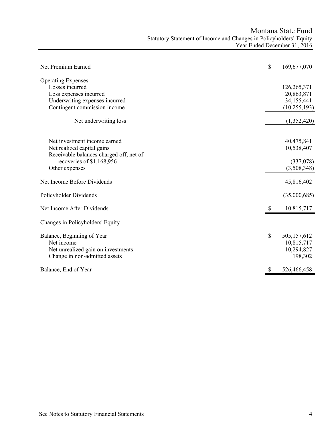| Net Premium Earned                                                                                                                                   | \$<br>169,677,070                                         |
|------------------------------------------------------------------------------------------------------------------------------------------------------|-----------------------------------------------------------|
| <b>Operating Expenses</b><br>Losses incurred<br>Loss expenses incurred<br>Underwriting expenses incurred<br>Contingent commission income             | 126,265,371<br>20,863,871<br>34,155,441<br>(10, 255, 193) |
| Net underwriting loss                                                                                                                                | (1,352,420)                                               |
| Net investment income earned<br>Net realized capital gains<br>Receivable balances charged off, net of<br>recoveries of \$1,168,956<br>Other expenses | 40,475,841<br>10,538,407<br>(337,078)<br>(3,508,348)      |
| Net Income Before Dividends                                                                                                                          | 45,816,402                                                |
| Policyholder Dividends                                                                                                                               | (35,000,685)                                              |
| Net Income After Dividends                                                                                                                           | 10,815,717                                                |
| Changes in Policyholders' Equity                                                                                                                     |                                                           |
| Balance, Beginning of Year<br>Net income<br>Net unrealized gain on investments<br>Change in non-admitted assets                                      | \$<br>505,157,612<br>10,815,717<br>10,294,827<br>198,302  |
| Balance, End of Year                                                                                                                                 | 526,466,458                                               |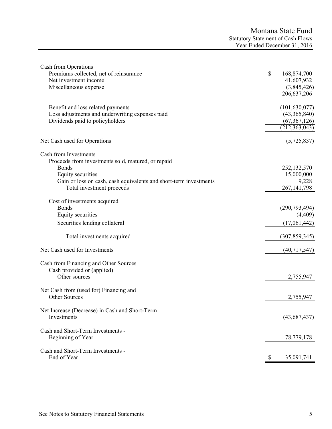| Cash from Operations                                              |                   |
|-------------------------------------------------------------------|-------------------|
| Premiums collected, net of reinsurance                            | \$<br>168,874,700 |
| Net investment income                                             | 41,607,932        |
| Miscellaneous expense                                             | (3,845,426)       |
|                                                                   | 206, 637, 206     |
| Benefit and loss related payments                                 | (101, 630, 077)   |
| Loss adjustments and underwriting expenses paid                   | (43,365,840)      |
| Dividends paid to policyholders                                   | (67, 367, 126)    |
|                                                                   | (212, 363, 043)   |
| Net Cash used for Operations                                      | (5,725,837)       |
| Cash from Investments                                             |                   |
| Proceeds from investments sold, matured, or repaid                |                   |
| <b>Bonds</b>                                                      | 252,132,570       |
| Equity securities                                                 | 15,000,000        |
| Gain or loss on cash, cash equivalents and short-term investments | 9,228             |
| Total investment proceeds                                         | 267, 141, 798     |
|                                                                   |                   |
| Cost of investments acquired                                      |                   |
| <b>Bonds</b>                                                      | (290, 793, 494)   |
| Equity securities                                                 | (4, 409)          |
|                                                                   |                   |
| Securities lending collateral                                     | (17,061,442)      |
| Total investments acquired                                        | (307, 859, 345)   |
| Net Cash used for Investments                                     | (40,717,547)      |
|                                                                   |                   |
| Cash from Financing and Other Sources                             |                   |
| Cash provided or (applied)                                        |                   |
| Other sources                                                     | 2,755,947         |
| Net Cash from (used for) Financing and                            |                   |
| <b>Other Sources</b>                                              | 2,755,947         |
| Net Increase (Decrease) in Cash and Short-Term                    |                   |
| Investments                                                       | (43,687,437)      |
|                                                                   |                   |
| Cash and Short-Term Investments -                                 |                   |
| Beginning of Year                                                 | 78,779,178        |
|                                                                   |                   |
| Cash and Short-Term Investments -                                 |                   |
| End of Year                                                       | \$<br>35,091,741  |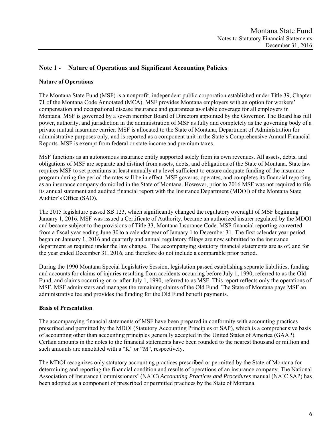# **Note 1 - Nature of Operations and Significant Accounting Policies**

### **Nature of Operations**

The Montana State Fund (MSF) is a nonprofit, independent public corporation established under Title 39, Chapter 71 of the Montana Code Annotated (MCA). MSF provides Montana employers with an option for workers' compensation and occupational disease insurance and guarantees available coverage for all employers in Montana. MSF is governed by a seven member Board of Directors appointed by the Governor. The Board has full power, authority, and jurisdiction in the administration of MSF as fully and completely as the governing body of a private mutual insurance carrier. MSF is allocated to the State of Montana, Department of Administration for administrative purposes only, and is reported as a component unit in the State's Comprehensive Annual Financial Reports. MSF is exempt from federal or state income and premium taxes.

MSF functions as an autonomous insurance entity supported solely from its own revenues. All assets, debts, and obligations of MSF are separate and distinct from assets, debts, and obligations of the State of Montana. State law requires MSF to set premiums at least annually at a level sufficient to ensure adequate funding of the insurance program during the period the rates will be in effect. MSF governs, operates, and completes its financial reporting as an insurance company domiciled in the State of Montana. However, prior to 2016 MSF was not required to file its annual statement and audited financial report with the Insurance Department (MDOI) of the Montana State Auditor's Office (SAO).

The 2015 legislature passed SB 123, which significantly changed the regulatory oversight of MSF beginning January 1, 2016. MSF was issued a Certificate of Authority, became an authorized insurer regulated by the MDOI and became subject to the provisions of Title 33, Montana Insurance Code. MSF financial reporting converted from a fiscal year ending June 30 to a calendar year of January 1 to December 31. The first calendar year period began on January 1, 2016 and quarterly and annual regulatory filings are now submitted to the insurance department as required under the law change. The accompanying statutory financial statements are as of, and for the year ended December 31, 2016, and therefore do not include a comparable prior period.

During the 1990 Montana Special Legislative Session, legislation passed establishing separate liabilities, funding and accounts for claims of injuries resulting from accidents occurring before July 1, 1990, referred to as the Old Fund, and claims occurring on or after July 1, 1990, referred to as MSF. This report reflects only the operations of MSF. MSF administers and manages the remaining claims of the Old Fund. The State of Montana pays MSF an administrative fee and provides the funding for the Old Fund benefit payments.

### **Basis of Presentation**

The accompanying financial statements of MSF have been prepared in conformity with accounting practices prescribed and permitted by the MDOI (Statutory Accounting Principles or SAP), which is a comprehensive basis of accounting other than accounting principles generally accepted in the United States of America (GAAP). Certain amounts in the notes to the financial statements have been rounded to the nearest thousand or million and such amounts are annotated with a "K" or "M", respectively.

The MDOI recognizes only statutory accounting practices prescribed or permitted by the State of Montana for determining and reporting the financial condition and results of operations of an insurance company. The National Association of Insurance Commissioners' (NAIC) *Accounting Practices and Procedures* manual (NAIC SAP) has been adopted as a component of prescribed or permitted practices by the State of Montana.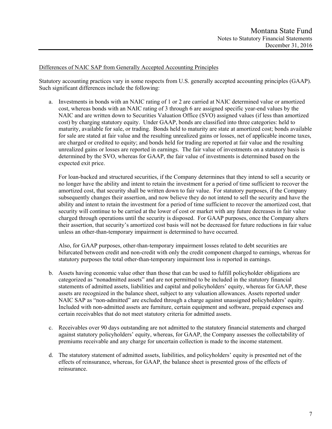#### Differences of NAIC SAP from Generally Accepted Accounting Principles

Statutory accounting practices vary in some respects from U.S. generally accepted accounting principles (GAAP). Such significant differences include the following:

a. Investments in bonds with an NAIC rating of 1 or 2 are carried at NAIC determined value or amortized cost, whereas bonds with an NAIC rating of 3 through 6 are assigned specific year-end values by the NAIC and are written down to Securities Valuation Office (SVO) assigned values (if less than amortized cost) by charging statutory equity. Under GAAP, bonds are classified into three categories: held to maturity, available for sale, or trading. Bonds held to maturity are state at amortized cost; bonds available for sale are stated at fair value and the resulting unrealized gains or losses, net of applicable income taxes, are charged or credited to equity; and bonds held for trading are reported at fair value and the resulting unrealized gains or losses are reported in earnings. The fair value of investments on a statutory basis is determined by the SVO, whereas for GAAP, the fair value of investments is determined based on the expected exit price.

For loan-backed and structured securities, if the Company determines that they intend to sell a security or no longer have the ability and intent to retain the investment for a period of time sufficient to recover the amortized cost, that security shall be written down to fair value. For statutory purposes, if the Company subsequently changes their assertion, and now believe they do not intend to sell the security and have the ability and intent to retain the investment for a period of time sufficient to recover the amortized cost, that security will continue to be carried at the lower of cost or market with any future decreases in fair value charged through operations until the security is disposed. For GAAP purposes, once the Company alters their assertion, that security's amortized cost basis will not be decreased for future reductions in fair value unless an other-than-temporary impairment is determined to have occurred.

Also, for GAAP purposes, other-than-temporary impairment losses related to debt securities are bifurcated between credit and non-credit with only the credit component charged to earnings, whereas for statutory purposes the total other-than-temporary impairment loss is reported in earnings.

- b. Assets having economic value other than those that can be used to fulfill policyholder obligations are categorized as "nonadmitted assets" and are not permitted to be included in the statutory financial statements of admitted assets, liabilities and capital and policyholders' equity, whereas for GAAP, these assets are recognized in the balance sheet, subject to any valuation allowances. Assets reported under NAIC SAP as "non-admitted" are excluded through a charge against unassigned policyholders' equity. Included with non-admitted assets are furniture, certain equipment and software, prepaid expenses and certain receivables that do not meet statutory criteria for admitted assets.
- c. Receivables over 90 days outstanding are not admitted to the statutory financial statements and charged against statutory policyholders' equity, whereas, for GAAP, the Company assesses the collectability of premiums receivable and any charge for uncertain collection is made to the income statement.
- d. The statutory statement of admitted assets, liabilities, and policyholders' equity is presented net of the effects of reinsurance, whereas, for GAAP, the balance sheet is presented gross of the effects of reinsurance.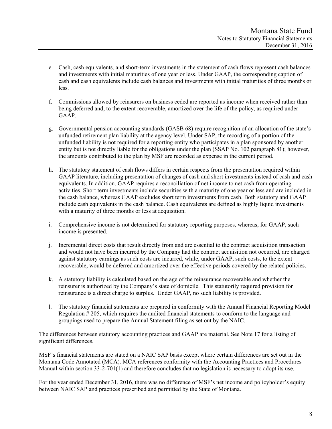- e. Cash, cash equivalents, and short-term investments in the statement of cash flows represent cash balances and investments with initial maturities of one year or less. Under GAAP, the corresponding caption of cash and cash equivalents include cash balances and investments with initial maturities of three months or less.
- f. Commissions allowed by reinsurers on business ceded are reported as income when received rather than being deferred and, to the extent recoverable, amortized over the life of the policy, as required under GAAP.
- g. Governmental pension accounting standards (GASB 68) require recognition of an allocation of the state's unfunded retirement plan liability at the agency level. Under SAP, the recording of a portion of the unfunded liability is not required for a reporting entity who participates in a plan sponsored by another entity but is not directly liable for the obligations under the plan (SSAP No. 102 paragraph 81); however, the amounts contributed to the plan by MSF are recorded as expense in the current period.
- h. The statutory statement of cash flows differs in certain respects from the presentation required within GAAP literature, including presentation of changes of cash and short investments instead of cash and cash equivalents. In addition, GAAP requires a reconciliation of net income to net cash from operating activities. Short term investments include securities with a maturity of one year or less and are included in the cash balance, whereas GAAP excludes short term investments from cash. Both statutory and GAAP include cash equivalents in the cash balance. Cash equivalents are defined as highly liquid investments with a maturity of three months or less at acquisition.
- i. Comprehensive income is not determined for statutory reporting purposes, whereas, for GAAP, such income is presented.
- j. Incremental direct costs that result directly from and are essential to the contract acquisition transaction and would not have been incurred by the Company had the contract acquisition not occurred, are charged against statutory earnings as such costs are incurred, while, under GAAP, such costs, to the extent recoverable, would be deferred and amortized over the effective periods covered by the related policies.
- k. A statutory liability is calculated based on the age of the reinsurance recoverable and whether the reinsurer is authorized by the Company's state of domicile. This statutorily required provision for reinsurance is a direct charge to surplus. Under GAAP, no such liability is provided.
- l. The statutory financial statements are prepared in conformity with the Annual Financial Reporting Model Regulation # 205, which requires the audited financial statements to conform to the language and groupings used to prepare the Annual Statement filing as set out by the NAIC.

The differences between statutory accounting practices and GAAP are material. See Note 17 for a listing of significant differences.

MSF's financial statements are stated on a NAIC SAP basis except where certain differences are set out in the Montana Code Annotated (MCA). MCA references conformity with the Accounting Practices and Procedures Manual within section 33-2-701(1) and therefore concludes that no legislation is necessary to adopt its use.

For the year ended December 31, 2016, there was no difference of MSF's net income and policyholder's equity between NAIC SAP and practices prescribed and permitted by the State of Montana.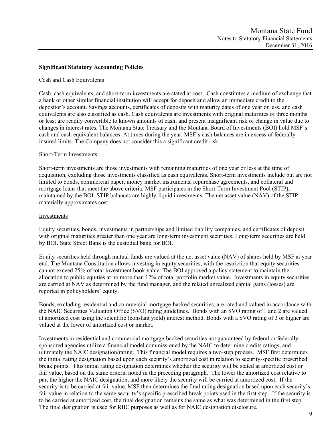### **Significant Statutory Accounting Policies**

#### Cash and Cash Equivalents

Cash, cash equivalents, and short-term investments are stated at cost. Cash constitutes a medium of exchange that a bank or other similar financial institution will accept for deposit and allow an immediate credit to the depositor's account. Savings accounts, certificates of deposits with maturity dates of one year or less, and cash equivalents are also classified as cash. Cash equivalents are investments with original maturities of three months or less; are readily convertible to known amounts of cash; and present insignificant risk of change in value due to changes in interest rates. The Montana State Treasury and the Montana Board of Investments (BOI) hold MSF's cash and cash equivalent balances. At times during the year, MSF's cash balances are in excess of federally insured limits. The Company does not consider this a significant credit risk.

#### Short-Term Investments

Short-term investments are those investments with remaining maturities of one year or less at the time of acquisition, excluding those investments classified as cash equivalents. Short-term investments include but are not limited to bonds, commercial paper, money market instruments, repurchase agreements, and collateral and mortgage loans that meet the above criteria. MSF participates in the Short-Term Investment Pool (STIP), maintained by the BOI. STIP balances are highly-liquid investments. The net asset value (NAV) of the STIP materially approximates cost.

#### Investments

Equity securities, bonds, investments in partnerships and limited liability companies, and certificates of deposit with original maturities greater than one year are long-term investment securities. Long-term securities are held by BOI. State Street Bank is the custodial bank for BOI.

Equity securities held through mutual funds are valued at the net asset value (NAV) of shares held by MSF at year end. The Montana Constitution allows investing in equity securities, with the restriction that equity securities cannot exceed 25% of total investment book value. The BOI approved a policy statement to maintain the allocation to public equities at no more than 12% of total portfolio market value. Investments in equity securities are carried at NAV as determined by the fund manager, and the related unrealized capital gains (losses) are reported in policyholders' equity.

Bonds, excluding residential and commercial mortgage-backed securities, are rated and valued in accordance with the NAIC Securities Valuation Office (SVO) rating guidelines. Bonds with an SVO rating of 1 and 2 are valued at amortized cost using the scientific (constant yield) interest method. Bonds with a SVO rating of 3 or higher are valued at the lower of amortized cost or market.

Investments in residential and commercial mortgage-backed securities not guaranteed by federal or federallysponsored agencies utilize a financial model commissioned by the NAIC to determine credits ratings, and ultimately the NAIC designation/rating. This financial model requires a two-step process. MSF first determines the initial rating designation based upon each security's amortized cost in relation to security-specific prescribed break points. This initial rating designation determines whether the security will be stated at amortized cost or fair value, based on the same criteria noted in the preceding paragraph. The lower the amortized cost relative to par, the higher the NAIC designation, and more likely the security will be carried at amortized cost. If the security is to be carried at fair value, MSF then determines the final rating designation based upon each security's fair value in relation to the same security's specific prescribed break points used in the first step. If the security is to be carried at amortized cost, the final designation remains the same as what was determined in the first step. The final designation is used for RBC purposes as well as for NAIC designation disclosure.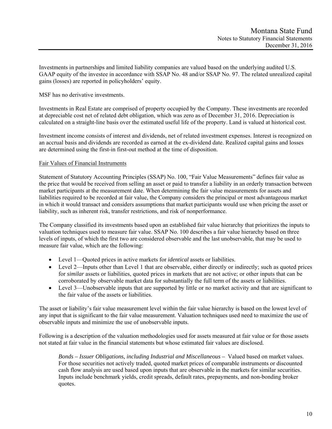Investments in partnerships and limited liability companies are valued based on the underlying audited U.S. GAAP equity of the investee in accordance with SSAP No. 48 and/or SSAP No. 97. The related unrealized capital gains (losses) are reported in policyholders' equity.

MSF has no derivative investments.

Investments in Real Estate are comprised of property occupied by the Company. These investments are recorded at depreciable cost net of related debt obligation, which was zero as of December 31, 2016. Depreciation is calculated on a straight-line basis over the estimated useful life of the property. Land is valued at historical cost.

Investment income consists of interest and dividends, net of related investment expenses. Interest is recognized on an accrual basis and dividends are recorded as earned at the ex-dividend date. Realized capital gains and losses are determined using the first-in first-out method at the time of disposition.

### Fair Values of Financial Instruments

Statement of Statutory Accounting Principles (SSAP) No. 100, "Fair Value Measurements" defines fair value as the price that would be received from selling an asset or paid to transfer a liability in an orderly transaction between market participants at the measurement date. When determining the fair value measurements for assets and liabilities required to be recorded at fair value, the Company considers the principal or most advantageous market in which it would transact and considers assumptions that market participants would use when pricing the asset or liability, such as inherent risk, transfer restrictions, and risk of nonperformance.

The Company classified its investments based upon an established fair value hierarchy that prioritizes the inputs to valuation techniques used to measure fair value. SSAP No. 100 describes a fair value hierarchy based on three levels of inputs, of which the first two are considered observable and the last unobservable, that may be used to measure fair value, which are the following:

- Level 1—Quoted prices in active markets for *identical* assets or liabilities.
- Level 2—Inputs other than Level 1 that are observable, either directly or indirectly; such as quoted prices for *similar* assets or liabilities, quoted prices in markets that are not active; or other inputs that can be corroborated by observable market data for substantially the full term of the assets or liabilities.
- Level 3—Unobservable inputs that are supported by little or no market activity and that are significant to the fair value of the assets or liabilities.

The asset or liability's fair value measurement level within the fair value hierarchy is based on the lowest level of any input that is significant to the fair value measurement. Valuation techniques used need to maximize the use of observable inputs and minimize the use of unobservable inputs.

Following is a description of the valuation methodologies used for assets measured at fair value or for those assets not stated at fair value in the financial statements but whose estimated fair values are disclosed.

*Bonds – Issuer Obligations, including Industrial and Miscellaneous –* Valued based on market values. For those securities not actively traded, quoted market prices of comparable instruments or discounted cash flow analysis are used based upon inputs that are observable in the markets for similar securities. Inputs include benchmark yields, credit spreads, default rates, prepayments, and non-bonding broker quotes.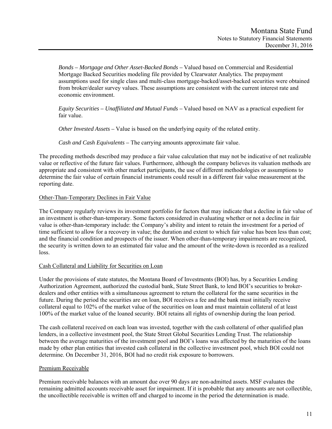*Bonds – Mortgage and Other Asset-Backed Bonds –* Valued based on Commercial and Residential Mortgage Backed Securities modeling file provided by Clearwater Analytics. The prepayment assumptions used for single class and multi-class mortgage-backed/asset-backed securities were obtained from broker/dealer survey values. These assumptions are consistent with the current interest rate and economic environment.

*Equity Securities – Unaffiliated and Mutual Funds –* Valued based on NAV as a practical expedient for fair value.

 *Other Invested Assets –* Value is based on the underlying equity of the related entity.

 *Cash and Cash Equivalents –* The carrying amounts approximate fair value.

The preceding methods described may produce a fair value calculation that may not be indicative of net realizable value or reflective of the future fair values. Furthermore, although the company believes its valuation methods are appropriate and consistent with other market participants, the use of different methodologies or assumptions to determine the fair value of certain financial instruments could result in a different fair value measurement at the reporting date.

### Other-Than-Temporary Declines in Fair Value

The Company regularly reviews its investment portfolio for factors that may indicate that a decline in fair value of an investment is other-than-temporary. Some factors considered in evaluating whether or not a decline in fair value is other-than-temporary include: the Company's ability and intent to retain the investment for a period of time sufficient to allow for a recovery in value; the duration and extent to which fair value has been less than cost; and the financial condition and prospects of the issuer. When other-than-temporary impairments are recognized, the security is written down to an estimated fair value and the amount of the write-down is recorded as a realized loss.

### Cash Collateral and Liability for Securities on Loan

Under the provisions of state statutes, the Montana Board of Investments (BOI) has, by a Securities Lending Authorization Agreement, authorized the custodial bank, State Street Bank, to lend BOI's securities to brokerdealers and other entities with a simultaneous agreement to return the collateral for the same securities in the future. During the period the securities are on loan, BOI receives a fee and the bank must initially receive collateral equal to 102% of the market value of the securities on loan and must maintain collateral of at least 100% of the market value of the loaned security. BOI retains all rights of ownership during the loan period.

The cash collateral received on each loan was invested, together with the cash collateral of other qualified plan lenders, in a collective investment pool, the State Street Global Securities Lending Trust. The relationship between the average maturities of the investment pool and BOI's loans was affected by the maturities of the loans made by other plan entities that invested cash collateral in the collective investment pool, which BOI could not determine. On December 31, 2016, BOI had no credit risk exposure to borrowers.

# Premium Receivable

Premium receivable balances with an amount due over 90 days are non-admitted assets. MSF evaluates the remaining admitted accounts receivable asset for impairment. If it is probable that any amounts are not collectible, the uncollectible receivable is written off and charged to income in the period the determination is made.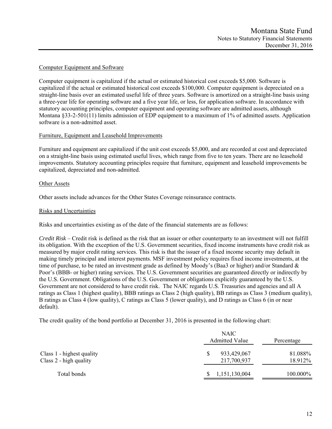### Computer Equipment and Software

Computer equipment is capitalized if the actual or estimated historical cost exceeds \$5,000. Software is capitalized if the actual or estimated historical cost exceeds \$100,000. Computer equipment is depreciated on a straight-line basis over an estimated useful life of three years. Software is amortized on a straight-line basis using a three-year life for operating software and a five year life, or less, for application software. In accordance with statutory accounting principles, computer equipment and operating software are admitted assets, although Montana §33-2-501(11) limits admission of EDP equipment to a maximum of 1% of admitted assets. Application software is a non-admitted asset.

### Furniture, Equipment and Leasehold Improvements

Furniture and equipment are capitalized if the unit cost exceeds \$5,000, and are recorded at cost and depreciated on a straight-line basis using estimated useful lives, which range from five to ten years. There are no leasehold improvements. Statutory accounting principles require that furniture, equipment and leasehold improvements be capitalized, depreciated and non-admitted.

### Other Assets

Other assets include advances for the Other States Coverage reinsurance contracts.

### Risks and Uncertainties

Risks and uncertainties existing as of the date of the financial statements are as follows:

*Credit Risk* – Credit risk is defined as the risk that an issuer or other counterparty to an investment will not fulfill its obligation. With the exception of the U.S. Government securities, fixed income instruments have credit risk as measured by major credit rating services. This risk is that the issuer of a fixed income security may default in making timely principal and interest payments. MSF investment policy requires fixed income investments, at the time of purchase, to be rated an investment grade as defined by Moody's (Baa3 or higher) and/or Standard & Poor's (BBB- or higher) rating services. The U.S. Government securities are guaranteed directly or indirectly by the U.S. Government. Obligations of the U.S. Government or obligations explicitly guaranteed by the U.S. Government are not considered to have credit risk. The NAIC regards U.S. Treasuries and agencies and all A ratings as Class 1 (highest quality), BBB ratings as Class 2 (high quality), BB ratings as Class 3 (medium quality), B ratings as Class 4 (low quality), C ratings as Class 5 (lower quality), and D ratings as Class 6 (in or near default).

The credit quality of the bond portfolio at December 31, 2016 is presented in the following chart:

|                                                     | <b>NAIC</b><br><b>Admitted Value</b> | Percentage         |
|-----------------------------------------------------|--------------------------------------|--------------------|
| Class 1 - highest quality<br>Class 2 - high quality | 933,429,067<br>\$<br>217,700,937     | 81.088%<br>18.912% |
| Total bonds                                         | 1,151,130,004                        | 100.000%           |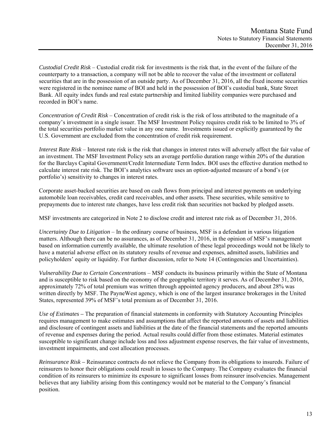*Custodial Credit Risk* – Custodial credit risk for investments is the risk that, in the event of the failure of the counterparty to a transaction, a company will not be able to recover the value of the investment or collateral securities that are in the possession of an outside party. As of December 31, 2016, all the fixed income securities were registered in the nominee name of BOI and held in the possession of BOI's custodial bank, State Street Bank. All equity index funds and real estate partnership and limited liability companies were purchased and recorded in BOI's name.

*Concentration of Credit Risk* – Concentration of credit risk is the risk of loss attributed to the magnitude of a company's investment in a single issuer. The MSF Investment Policy requires credit risk to be limited to 3% of the total securities portfolio market value in any one name. Investments issued or explicitly guaranteed by the U.S. Government are excluded from the concentration of credit risk requirement.

*Interest Rate Risk* – Interest rate risk is the risk that changes in interest rates will adversely affect the fair value of an investment. The MSF Investment Policy sets an average portfolio duration range within 20% of the duration for the Barclays Capital Government/Credit Intermediate Term Index. BOI uses the effective duration method to calculate interest rate risk. The BOI's analytics software uses an option-adjusted measure of a bond's (or portfolio's) sensitivity to changes in interest rates.

Corporate asset-backed securities are based on cash flows from principal and interest payments on underlying automobile loan receivables, credit card receivables, and other assets. These securities, while sensitive to prepayments due to interest rate changes, have less credit risk than securities not backed by pledged assets.

MSF investments are categorized in Note 2 to disclose credit and interest rate risk as of December 31, 2016.

*Uncertainty Due to Litigation* – In the ordinary course of business, MSF is a defendant in various litigation matters. Although there can be no assurances, as of December 31, 2016, in the opinion of MSF's management based on information currently available, the ultimate resolution of these legal proceedings would not be likely to have a material adverse effect on its statutory results of revenue and expenses, admitted assets, liabilities and policyholders' equity or liquidity. For further discussion, refer to Note 14 (Contingencies and Uncertainties).

*Vulnerability Due to Certain Concentrations* – MSF conducts its business primarily within the State of Montana and is susceptible to risk based on the economy of the geographic territory it serves. As of December 31, 2016, approximately 72% of total premium was written through appointed agency producers, and about 28% was written directly by MSF. The PayneWest agency, which is one of the largest insurance brokerages in the United States, represented 39% of MSF's total premium as of December 31, 2016.

*Use of Estimates –* The preparation of financial statements in conformity with Statutory Accounting Principles requires management to make estimates and assumptions that affect the reported amounts of assets and liabilities and disclosure of contingent assets and liabilities at the date of the financial statements and the reported amounts of revenue and expenses during the period. Actual results could differ from those estimates. Material estimates susceptible to significant change include loss and loss adjustment expense reserves, the fair value of investments, investment impairments, and cost allocation processes.

*Reinsurance Risk –* Reinsurance contracts do not relieve the Company from its obligations to insureds. Failure of reinsurers to honor their obligations could result in losses to the Company. The Company evaluates the financial condition of its reinsurers to minimize its exposure to significant losses from reinsurer insolvencies. Management believes that any liability arising from this contingency would not be material to the Company's financial position.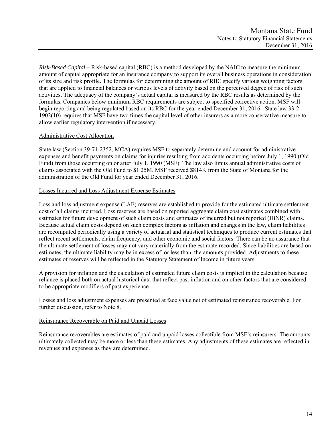*Risk-Based Capital* – Risk-based capital (RBC) is a method developed by the NAIC to measure the minimum amount of capital appropriate for an insurance company to support its overall business operations in consideration of its size and risk profile. The formulas for determining the amount of RBC specify various weighting factors that are applied to financial balances or various levels of activity based on the perceived degree of risk of such activities. The adequacy of the company's actual capital is measured by the RBC results as determined by the formulas. Companies below minimum RBC requirements are subject to specified corrective action. MSF will begin reporting and being regulated based on its RBC for the year ended December 31, 2016. State law 33-2- 1902(10) requires that MSF have two times the capital level of other insurers as a more conservative measure to allow earlier regulatory intervention if necessary.

# Administrative Cost Allocation

State law (Section 39-71-2352, MCA) requires MSF to separately determine and account for administrative expenses and benefit payments on claims for injuries resulting from accidents occurring before July 1, 1990 (Old Fund) from those occurring on or after July 1, 1990 (MSF). The law also limits annual administrative costs of claims associated with the Old Fund to \$1.25M. MSF received \$814K from the State of Montana for the administration of the Old Fund for year ended December 31, 2016.

### Losses Incurred and Loss Adjustment Expense Estimates

Loss and loss adjustment expense (LAE) reserves are established to provide for the estimated ultimate settlement cost of all claims incurred. Loss reserves are based on reported aggregate claim cost estimates combined with estimates for future development of such claim costs and estimates of incurred but not reported (IBNR) claims. Because actual claim costs depend on such complex factors as inflation and changes in the law, claim liabilities are recomputed periodically using a variety of actuarial and statistical techniques to produce current estimates that reflect recent settlements, claim frequency, and other economic and social factors. There can be no assurance that the ultimate settlement of losses may not vary materially from the estimate recorded. Since liabilities are based on estimates, the ultimate liability may be in excess of, or less than, the amounts provided. Adjustments to these estimates of reserves will be reflected in the Statutory Statement of Income in future years.

A provision for inflation and the calculation of estimated future claim costs is implicit in the calculation because reliance is placed both on actual historical data that reflect past inflation and on other factors that are considered to be appropriate modifiers of past experience.

Losses and loss adjustment expenses are presented at face value net of estimated reinsurance recoverable. For further discussion, refer to Note 8.

### Reinsurance Recoverable on Paid and Unpaid Losses

Reinsurance recoverables are estimates of paid and unpaid losses collectible from MSF's reinsurers. The amounts ultimately collected may be more or less than these estimates. Any adjustments of these estimates are reflected in revenues and expenses as they are determined.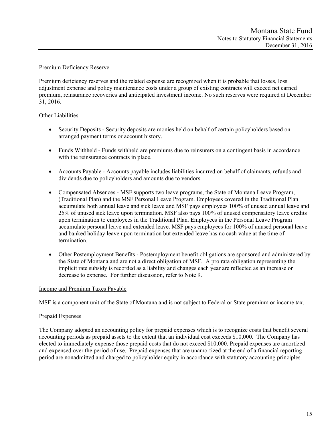### Premium Deficiency Reserve

Premium deficiency reserves and the related expense are recognized when it is probable that losses, loss adjustment expense and policy maintenance costs under a group of existing contracts will exceed net earned premium, reinsurance recoveries and anticipated investment income. No such reserves were required at December 31, 2016.

### Other Liabilities

- Security Deposits Security deposits are monies held on behalf of certain policyholders based on arranged payment terms or account history.
- Funds Withheld Funds withheld are premiums due to reinsurers on a contingent basis in accordance with the reinsurance contracts in place.
- Accounts Payable Accounts payable includes liabilities incurred on behalf of claimants, refunds and dividends due to policyholders and amounts due to vendors.
- Compensated Absences MSF supports two leave programs, the State of Montana Leave Program, (Traditional Plan) and the MSF Personal Leave Program. Employees covered in the Traditional Plan accumulate both annual leave and sick leave and MSF pays employees 100% of unused annual leave and 25% of unused sick leave upon termination. MSF also pays 100% of unused compensatory leave credits upon termination to employees in the Traditional Plan. Employees in the Personal Leave Program accumulate personal leave and extended leave. MSF pays employees for 100% of unused personal leave and banked holiday leave upon termination but extended leave has no cash value at the time of termination.
- Other Postemployment Benefits Postemployment benefit obligations are sponsored and administered by the State of Montana and are not a direct obligation of MSF. A pro rata obligation representing the implicit rate subsidy is recorded as a liability and changes each year are reflected as an increase or decrease to expense. For further discussion, refer to Note 9.

### Income and Premium Taxes Payable

MSF is a component unit of the State of Montana and is not subject to Federal or State premium or income tax.

# Prepaid Expenses

The Company adopted an accounting policy for prepaid expenses which is to recognize costs that benefit several accounting periods as prepaid assets to the extent that an individual cost exceeds \$10,000. The Company has elected to immediately expense those prepaid costs that do not exceed \$10,000. Prepaid expenses are amortized and expensed over the period of use. Prepaid expenses that are unamortized at the end of a financial reporting period are nonadmitted and charged to policyholder equity in accordance with statutory accounting principles.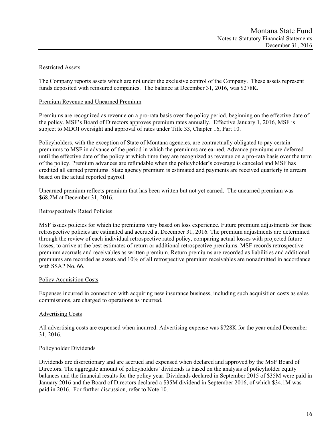# Restricted Assets

The Company reports assets which are not under the exclusive control of the Company. These assets represent funds deposited with reinsured companies. The balance at December 31, 2016, was \$278K.

### Premium Revenue and Unearned Premium

Premiums are recognized as revenue on a pro-rata basis over the policy period, beginning on the effective date of the policy. MSF's Board of Directors approves premium rates annually. Effective January 1, 2016, MSF is subject to MDOI oversight and approval of rates under Title 33, Chapter 16, Part 10.

Policyholders, with the exception of State of Montana agencies, are contractually obligated to pay certain premiums to MSF in advance of the period in which the premiums are earned. Advance premiums are deferred until the effective date of the policy at which time they are recognized as revenue on a pro-rata basis over the term of the policy. Premium advances are refundable when the policyholder's coverage is canceled and MSF has credited all earned premiums. State agency premium is estimated and payments are received quarterly in arrears based on the actual reported payroll.

Unearned premium reflects premium that has been written but not yet earned. The unearned premium was \$68.2M at December 31, 2016.

### Retrospectively Rated Policies

MSF issues policies for which the premiums vary based on loss experience. Future premium adjustments for these retrospective policies are estimated and accrued at December 31, 2016. The premium adjustments are determined through the review of each individual retrospective rated policy, comparing actual losses with projected future losses, to arrive at the best estimates of return or additional retrospective premiums. MSF records retrospective premium accruals and receivables as written premium. Return premiums are recorded as liabilities and additional premiums are recorded as assets and 10% of all retrospective premium receivables are nonadmitted in accordance with SSAP No. 66.

### Policy Acquisition Costs

Expenses incurred in connection with acquiring new insurance business, including such acquisition costs as sales commissions, are charged to operations as incurred.

### Advertising Costs

All advertising costs are expensed when incurred. Advertising expense was \$728K for the year ended December 31, 2016.

### Policyholder Dividends

Dividends are discretionary and are accrued and expensed when declared and approved by the MSF Board of Directors. The aggregate amount of policyholders' dividends is based on the analysis of policyholder equity balances and the financial results for the policy year. Dividends declared in September 2015 of \$35M were paid in January 2016 and the Board of Directors declared a \$35M dividend in September 2016, of which \$34.1M was paid in 2016. For further discussion, refer to Note 10.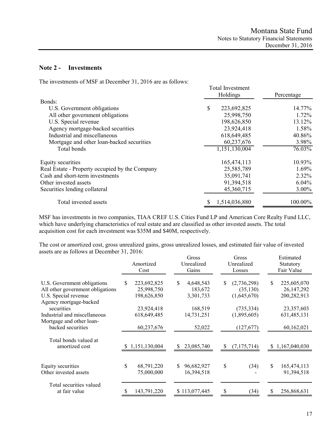# **Note 2 - Investments**

The investments of MSF at December 31, 2016 are as follows:

| The investments of more at December 31, 2010 are as follows.<br>Bonds: | <b>Total Investment</b><br>Holdings | Percentage |
|------------------------------------------------------------------------|-------------------------------------|------------|
| U.S. Government obligations                                            | \$<br>223,692,825                   | 14.77%     |
|                                                                        |                                     |            |
| All other government obligations                                       | 25,998,750                          | 1.72%      |
| U.S. Special revenue                                                   | 198,626,850                         | 13.12%     |
| Agency mortgage-backed securities                                      | 23,924,418                          | 1.58%      |
| Industrial and miscellaneous                                           | 618,649,485                         | 40.86%     |
| Mortgage and other loan-backed securities                              | 60,237,676                          | 3.98%      |
| Total bonds                                                            | 1,151,130,004                       | $76.03\%$  |
| Equity securities                                                      | 165,474,113                         | 10.93%     |
| Real Estate - Property occupied by the Company                         | 25,585,789                          | 1.69%      |
| Cash and short-term investments                                        | 35,091,741                          | 2.32%      |
| Other invested assets                                                  | 91,394,518                          | 6.04%      |
| Securities lending collateral                                          | 45,360,715                          | 3.00%      |
| Total invested assets                                                  | 1,514,036,880                       | 100.00%    |

MSF has investments in two companies, TIAA CREF U.S. Cities Fund LP and American Core Realty Fund LLC, which have underlying characteristics of real estate and are classified as other invested assets. The total acquisition cost for each investment was \$35M and \$40M, respectively.

The cost or amortized cost, gross unrealized gains, gross unrealized losses, and estimated fair value of invested assets are as follows at December 31, 2016:

|                                                                                                                   | Amortized<br>Cost                             | Gross<br>Unrealized<br>Gains           | Gross<br>Unrealized<br>Losses                  | Estimated<br>Statutory<br>Fair Value            |
|-------------------------------------------------------------------------------------------------------------------|-----------------------------------------------|----------------------------------------|------------------------------------------------|-------------------------------------------------|
| U.S. Government obligations<br>All other government obligations<br>U.S. Special revenue<br>Agency mortgage-backed | 223,692,825<br>S<br>25,998,750<br>198,626,850 | S<br>4,648,543<br>183,672<br>3,301,733 | (2,736,298)<br>\$.<br>(35, 130)<br>(1,645,670) | S<br>225,605,070<br>26, 147, 292<br>200,282,913 |
| securities<br>Industrial and miscellaneous<br>Mortgage and other loan-                                            | 23,924,418<br>618,649,485                     | 168,519<br>14,731,251                  | (735, 334)<br>(1,895,605)                      | 23,357,603<br>631,485,131                       |
| backed securities                                                                                                 | 60,237,676                                    | 52,022                                 | (127,677)                                      | 60,162,021                                      |
| Total bonds valued at<br>amortized cost                                                                           | \$1,151,130,004                               | 23,085,740<br>S                        | (7,175,714)<br>-S                              | 1,167,040,030<br>S.                             |
| Equity securities<br>Other invested assets                                                                        | \$<br>68,791,220<br>75,000,000                | \$.<br>96,682,927<br>16,394,518        | \$<br>(34)                                     | \$<br>165,474,113<br>91,394,518                 |
| Total securities valued<br>at fair value                                                                          | 143,791,220                                   | \$113,077,445                          | (34)                                           | 256,868,631                                     |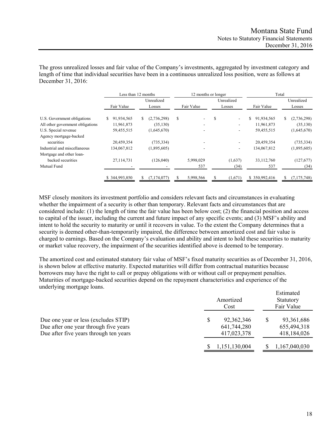The gross unrealized losses and fair value of the Company's investments, aggregated by investment category and length of time that individual securities have been in a continuous unrealized loss position, were as follows at December 31, 2016:

|                                  | Less than 12 months |                  | 12 months or longer |             |                  | Total            |
|----------------------------------|---------------------|------------------|---------------------|-------------|------------------|------------------|
|                                  |                     | Unrealized       |                     | Unrealized  |                  | Unrealized       |
|                                  | Fair Value          | Losses           | Fair Value          | Losses      | Fair Value       | Losses           |
| U.S. Government obligations      | 91,934,565<br>S     | (2,736,298)<br>S | S.                  | S<br>$\sim$ | \$<br>91,934,565 | (2,736,298)<br>S |
| All other government obligations | 11,961,873          | (35, 130)        |                     |             | 11,961,873       | (35, 130)        |
| U.S. Special revenue             | 59,455,515          | (1,645,670)      |                     |             | 59,455,515       | (1,645,670)      |
| Agency mortgage-backed           |                     |                  |                     |             |                  |                  |
| securities                       | 20,459,354          | (735, 334)       |                     |             | 20,459,354       | (735, 334)       |
| Industrial and miscellaneous     | 134,067,812         | (1,895,605)      |                     |             | 134,067,812      | (1,895,605)      |
| Mortgage and other loan-         |                     |                  |                     |             |                  |                  |
| backed securities                | 27,114,731          | (126,040)        | 5,998,029           | (1,637)     | 33,112,760       | (127,677)        |
| Mutual Fund                      |                     |                  | 537                 | (34)        | 537              | (34)             |
|                                  | \$344,993,850       | (7, 174, 077)    | 5,998,566           | (1,671)     | \$350,992,416    | (7,175,748)      |

MSF closely monitors its investment portfolio and considers relevant facts and circumstances in evaluating whether the impairment of a security is other than temporary. Relevant facts and circumstances that are considered include: (1) the length of time the fair value has been below cost; (2) the financial position and access to capital of the issuer, including the current and future impact of any specific events; and (3) MSF's ability and intent to hold the security to maturity or until it recovers in value. To the extent the Company determines that a security is deemed other-than-temporarily impaired, the difference between amortized cost and fair value is charged to earnings. Based on the Company's evaluation and ability and intent to hold these securities to maturity or market value recovery, the impairment of the securities identified above is deemed to be temporary.

The amortized cost and estimated statutory fair value of MSF's fixed maturity securities as of December 31, 2016, is shown below at effective maturity. Expected maturities will differ from contractual maturities because borrowers may have the right to call or prepay obligations with or without call or prepayment penalties. Maturities of mortgage-backed securities depend on the repayment characteristics and experience of the underlying mortgage loans.

|                                                                                                                         | Amortized<br>Cost                              | Estimated<br>Statutory<br>Fair Value       |
|-------------------------------------------------------------------------------------------------------------------------|------------------------------------------------|--------------------------------------------|
| Due one year or less (excludes STIP)<br>Due after one year through five years<br>Due after five years through ten years | \$<br>92,362,346<br>641,744,280<br>417,023,378 | 93, 361, 686<br>655,494,318<br>418,184,026 |
|                                                                                                                         | 1,151,130,004                                  | 1,167,040,030                              |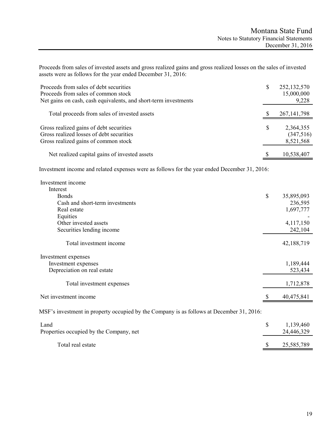Proceeds from sales of invested assets and gross realized gains and gross realized losses on the sales of invested assets were as follows for the year ended December 31, 2016:

| Proceeds from sales of debt securities<br>Proceeds from sales of common stock<br>Net gains on cash, cash equivalents, and short-term investments | \$<br>252, 132, 570<br>15,000,000<br>9,228 |
|--------------------------------------------------------------------------------------------------------------------------------------------------|--------------------------------------------|
| Total proceeds from sales of invested assets                                                                                                     | 267, 141, 798                              |
| Gross realized gains of debt securities<br>Gross realized losses of debt securities<br>Gross realized gains of common stock                      | \$<br>2,364,355<br>(347,516)<br>8,521,568  |
| Net realized capital gains of invested assets                                                                                                    | 10,538,407                                 |

Investment income and related expenses were as follows for the year ended December 31, 2016:

| Investment income                                                                        |                  |
|------------------------------------------------------------------------------------------|------------------|
| Interest                                                                                 |                  |
| <b>Bonds</b>                                                                             | \$<br>35,895,093 |
| Cash and short-term investments                                                          | 236,595          |
| Real estate                                                                              | 1,697,777        |
| Equities                                                                                 |                  |
| Other invested assets                                                                    | 4,117,150        |
| Securities lending income                                                                | 242,104          |
| Total investment income                                                                  | 42,188,719       |
| Investment expenses                                                                      |                  |
| Investment expenses                                                                      | 1,189,444        |
| Depreciation on real estate                                                              | 523,434          |
|                                                                                          |                  |
| Total investment expenses                                                                | 1,712,878        |
| Net investment income                                                                    | 40,475,841       |
|                                                                                          |                  |
| MSF's investment in property occupied by the Company is as follows at December 31, 2016: |                  |
| Land                                                                                     | \$<br>1,139,460  |
| Properties occupied by the Company, net                                                  | 24,446,329       |

| Total real estate | 25,585,789 |
|-------------------|------------|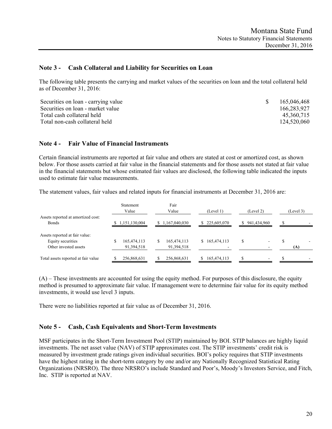## **Note 3 - Cash Collateral and Liability for Securities on Loan**

The following table presents the carrying and market values of the securities on loan and the total collateral held as of December 31, 2016:

| Securities on loan - carrying value | 165,046,468 |
|-------------------------------------|-------------|
| Securities on loan - market value   | 166,283,927 |
| Total cash collateral held          | 45,360,715  |
| Total non-cash collateral held      | 124,520,060 |

### **Note 4 - Fair Value of Financial Instruments**

Certain financial instruments are reported at fair value and others are stated at cost or amortized cost, as shown below. For those assets carried at fair value in the financial statements and for those assets not stated at fair value in the financial statements but whose estimated fair values are disclosed, the following table indicated the inputs used to estimate fair value measurements.

The statement values, fair values and related inputs for financial instruments at December 31, 2016 are:

|                                                                              | <b>Statement</b><br>Value      | Fair<br>Value                  | (Level 1)        | (Level 2)         | (Level 3) |
|------------------------------------------------------------------------------|--------------------------------|--------------------------------|------------------|-------------------|-----------|
| Assets reported at amortized cost:<br>Bonds                                  | 1,151,130,004                  | \$1,167,040,030                | 225,605,070      | 941,434,960<br>S. |           |
| Assets reported at fair value:<br>Equity securities<br>Other invested assets | 165,474,113<br>S<br>91,394,518 | 165,474,113<br>S<br>91,394,518 | \$165,474,113    | S                 | (A)       |
| Total assets reported at fair value                                          | 256,868,631                    | 256,868,631                    | 165,474,113<br>S |                   |           |

(A) – These investments are accounted for using the equity method. For purposes of this disclosure, the equity method is presumed to approximate fair value. If management were to determine fair value for its equity method investments, it would use level 3 inputs.

There were no liabilities reported at fair value as of December 31, 2016.

# **Note 5 - Cash, Cash Equivalents and Short-Term Investments**

MSF participates in the Short-Term Investment Pool (STIP) maintained by BOI. STIP balances are highly liquid investments. The net asset value (NAV) of STIP approximates cost. The STIP investments' credit risk is measured by investment grade ratings given individual securities. BOI's policy requires that STIP investments have the highest rating in the short-term category by one and/or any Nationally Recognized Statistical Rating Organizations (NRSRO). The three NRSRO's include Standard and Poor's, Moody's Investors Service, and Fitch, Inc. STIP is reported at NAV.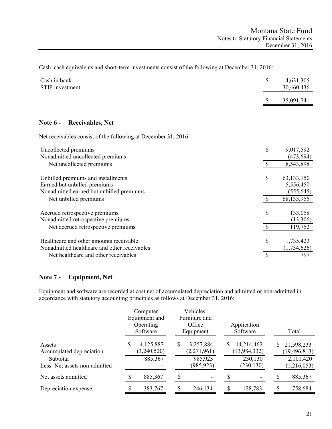Cash, cash equivalents and short-term investments consist of the following at December 31, 2016:

| Cash in bank<br>STIP investment                                                                                | \$<br>4,631,305<br>30,460,436 |                                         |
|----------------------------------------------------------------------------------------------------------------|-------------------------------|-----------------------------------------|
|                                                                                                                |                               | 35,091,741                              |
|                                                                                                                |                               |                                         |
| <b>Receivables, Net</b><br>Note $6-$                                                                           |                               |                                         |
| Net receivables consist of the following at December 31, 2016:                                                 |                               |                                         |
| Uncollected premiums<br>Nonadmitted uncollected premiums                                                       | \$                            | 9,017,592<br>(473, 694)                 |
| Net uncollected premiums                                                                                       | $\mathcal{S}$                 | 8,543,898                               |
| Unbilled premiums and installments<br>Earned but unbilled premiums<br>Nonadmitted earned but unbilled premiums | \$                            | 63, 133, 150<br>5,556,450<br>(555, 645) |
| Net unbilled premiums                                                                                          | $\mathbf{\hat{S}}$            | 68,133,955                              |
| Accrued retrospective premiums<br>Nonadmitted retrospective premiums                                           | \$                            | 133,058<br>(13,306)                     |
| Net accrued retrospective premiums                                                                             |                               | 119,752                                 |
| Healthcare and other amounts receivable<br>Nonadmitted healthcare and other receivables                        | \$                            | 1,735,423<br>(1,734,626)                |
| Net healthcare and other receivables                                                                           | $\mathcal{S}$                 | 797                                     |

# **Note 7 - Equipment, Net**

Equipment and software are recorded at cost net of accumulated depreciation and admitted or non-admitted in accordance with statutory accounting principles as follows at December 31, 2016:

|                                                                                 |   | Computer<br>Equipment and<br>Operating<br>Software |   | Vehicles,<br>Furniture and<br>Office<br>Equipment |   | Application<br>Software                               |    | Total                                                    |
|---------------------------------------------------------------------------------|---|----------------------------------------------------|---|---------------------------------------------------|---|-------------------------------------------------------|----|----------------------------------------------------------|
| Assets<br>Accumulated depreciation<br>Subtotal<br>Less: Net assets non-admitted | S | 4,125,887<br>(3,240,520)<br>885,367                | S | 3,257,884<br>(2,271,961)<br>985,923<br>(985, 923) | S | 14,214,462<br>(13, 984, 332)<br>230,130<br>(230, 130) | S. | 21,598,233<br>(19, 496, 813)<br>2,101,420<br>(1,216,053) |
| Net assets admitted                                                             |   | 885,367                                            | S |                                                   |   |                                                       |    | 885,367                                                  |
| Depreciation expense                                                            |   | 383,767                                            |   | 246,134                                           |   | 128,783                                               |    | 758,684                                                  |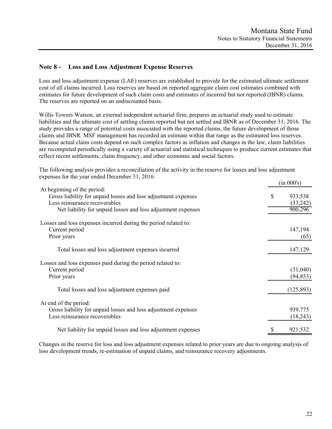# **Note 8 - Loss and Loss Adjustment Expense Reserves**

Loss and loss adjustment expense (LAE) reserves are established to provide for the estimated ultimate settlement cost of all claims incurred. Loss reserves are based on reported aggregate claim cost estimates combined with estimates for future development of such claim costs and estimates of incurred but not reported (IBNR) claims. The reserves are reported on an undiscounted basis.

Willis Towers Watson, an external independent actuarial firm, prepares an actuarial study used to estimate liabilities and the ultimate cost of settling claims reported but not settled and IBNR as of December 31, 2016. The study provides a range of potential costs associated with the reported claims, the future development of those claims and IBNR. MSF management has recorded an estimate within that range as the estimated loss reserves. Because actual claim costs depend on such complex factors as inflation and changes in the law, claim liabilities are recomputed periodically using a variety of actuarial and statistical techniques to produce current estimates that reflect recent settlements, claim frequency, and other economic and social factors.

The following analysis provides a reconciliation of the activity in the reserve for losses and loss adjustment expenses for the year ended December 31, 2016:

|                                                                                                                                                                                                |   | (in 000's)                     |
|------------------------------------------------------------------------------------------------------------------------------------------------------------------------------------------------|---|--------------------------------|
| At beginning of the period:<br>Gross liability for unpaid losses and loss adjustment expenses<br>Less reinsurance recoverables<br>Net liability for unpaid losses and loss adjustment expenses | S | 933,538<br>(33,242)<br>900,296 |
| Losses and loss expenses incurred during the period related to:<br>Current period<br>Prior years                                                                                               |   | 147,194<br>(65)                |
| Total losses and loss adjustment expenses incurred                                                                                                                                             |   | 147,129                        |
| Losses and loss expenses paid during the period related to:<br>Current period<br>Prior years                                                                                                   |   | (31,040)<br>(94, 853)          |
| Total losses and loss adjustment expenses paid                                                                                                                                                 |   | (125, 893)                     |
| At end of the period:<br>Gross liability for unpaid losses and loss adjustment expenses<br>Less reinsurance recoverables                                                                       |   | 939,775<br>(18,243)            |
| Net liability for unpaid losses and loss adjustment expenses                                                                                                                                   |   | 921,532                        |

Changes in the reserve for loss and loss adjustment expenses related to prior years are due to ongoing analysis of loss development trends, re-estimation of unpaid claims, and reinsurance recovery adjustments.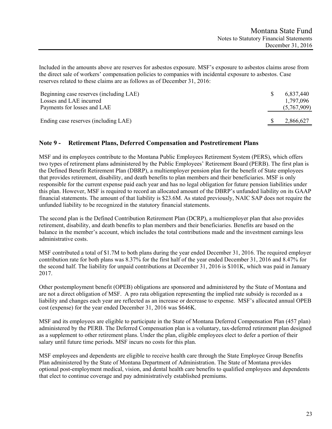Included in the amounts above are reserves for asbestos exposure. MSF's exposure to asbestos claims arose from the direct sale of workers' compensation policies to companies with incidental exposure to asbestos. Case reserves related to these claims are as follows as of December 31, 2016:

| Beginning case reserves (including LAE)<br>Losses and LAE incurred<br>Payments for losses and LAE | 6,837,440<br>1,797,096<br>(5,767,909) |
|---------------------------------------------------------------------------------------------------|---------------------------------------|
| Ending case reserves (including LAE)                                                              | 2,866,627                             |

# **Note 9 - Retirement Plans, Deferred Compensation and Postretirement Plans**

MSF and its employees contribute to the Montana Public Employees Retirement System (PERS), which offers two types of retirement plans administered by the Public Employees' Retirement Board (PERB). The first plan is the Defined Benefit Retirement Plan (DBRP), a multiemployer pension plan for the benefit of State employees that provides retirement, disability, and death benefits to plan members and their beneficiaries. MSF is only responsible for the current expense paid each year and has no legal obligation for future pension liabilities under this plan. However, MSF is required to record an allocated amount of the DBRP's unfunded liability on its GAAP financial statements. The amount of that liability is \$23.6M. As stated previously, NAIC SAP does not require the unfunded liability to be recognized in the statutory financial statements.

The second plan is the Defined Contribution Retirement Plan (DCRP), a multiemployer plan that also provides retirement, disability, and death benefits to plan members and their beneficiaries. Benefits are based on the balance in the member's account, which includes the total contributions made and the investment earnings less administrative costs.

MSF contributed a total of \$1.7M to both plans during the year ended December 31, 2016. The required employer contribution rate for both plans was 8.37% for the first half of the year ended December 31, 2016 and 8.47% for the second half. The liability for unpaid contributions at December 31, 2016 is \$101K, which was paid in January 2017.

Other postemployment benefit (OPEB) obligations are sponsored and administered by the State of Montana and are not a direct obligation of MSF. A pro rata obligation representing the implied rate subsidy is recorded as a liability and changes each year are reflected as an increase or decrease to expense. MSF's allocated annual OPEB cost (expense) for the year ended December 31, 2016 was \$646K.

MSF and its employees are eligible to participate in the State of Montana Deferred Compensation Plan (457 plan) administered by the PERB. The Deferred Compensation plan is a voluntary, tax-deferred retirement plan designed as a supplement to other retirement plans. Under the plan, eligible employees elect to defer a portion of their salary until future time periods. MSF incurs no costs for this plan.

MSF employees and dependents are eligible to receive health care through the State Employee Group Benefits Plan administered by the State of Montana Department of Administration. The State of Montana provides optional post-employment medical, vision, and dental health care benefits to qualified employees and dependents that elect to continue coverage and pay administratively established premiums.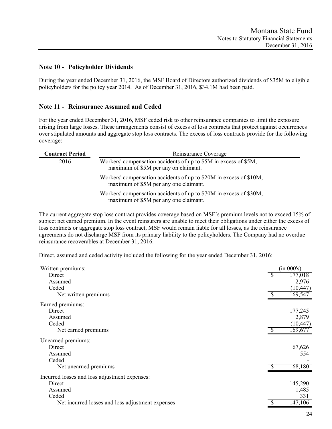## **Note 10 - Policyholder Dividends**

During the year ended December 31, 2016, the MSF Board of Directors authorized dividends of \$35M to eligible policyholders for the policy year 2014. As of December 31, 2016, \$34.1M had been paid.

### **Note 11 - Reinsurance Assumed and Ceded**

For the year ended December 31, 2016, MSF ceded risk to other reinsurance companies to limit the exposure arising from large losses. These arrangements consist of excess of loss contracts that protect against occurrences over stipulated amounts and aggregate stop loss contracts. The excess of loss contracts provide for the following coverage:

| <b>Contract Period</b> | Reinsurance Coverage                                                                                        |
|------------------------|-------------------------------------------------------------------------------------------------------------|
| 2016                   | Workers' compensation accidents of up to \$5M in excess of \$5M,<br>maximum of \$5M per any on claimant.    |
|                        | Workers' compensation accidents of up to \$20M in excess of \$10M,<br>maximum of \$5M per any one claimant. |
|                        | Workers' compensation accidents of up to \$70M in excess of \$30M,<br>maximum of \$5M per any one claimant. |

The current aggregate stop loss contract provides coverage based on MSF's premium levels not to exceed 15% of subject net earned premium. In the event reinsurers are unable to meet their obligations under either the excess of loss contracts or aggregate stop loss contract, MSF would remain liable for all losses, as the reinsurance agreements do not discharge MSF from its primary liability to the policyholders. The Company had no overdue reinsurance recoverables at December 31, 2016.

Direct, assumed and ceded activity included the following for the year ended December 31, 2016:

| Written premiums:                                |              | (in 000's) |
|--------------------------------------------------|--------------|------------|
| Direct                                           | <sup>S</sup> | 177,018    |
| Assumed                                          |              | 2,976      |
| Ceded                                            |              | (10, 447)  |
| Net written premiums                             |              | 169,547    |
| Earned premiums:                                 |              |            |
| Direct                                           |              | 177,245    |
| Assumed                                          |              | 2,879      |
| Ceded                                            |              | (10, 447)  |
| Net earned premiums                              |              | 169,677    |
| Unearned premiums:                               |              |            |
| Direct                                           |              | 67,626     |
| Assumed                                          |              | 554        |
| Ceded                                            |              |            |
| Net unearned premiums                            |              | 68,180     |
| Incurred losses and loss adjustment expenses:    |              |            |
| Direct                                           |              | 145,290    |
| Assumed                                          |              | 1,485      |
| Ceded                                            |              | 331        |
| Net incurred losses and loss adjustment expenses |              | 147,106    |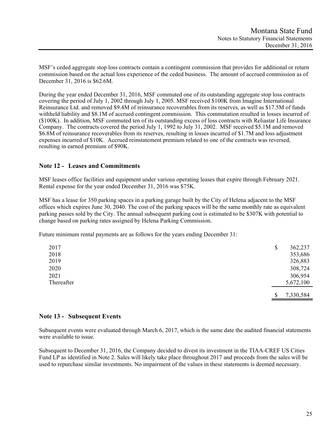MSF's ceded aggregate stop loss contracts contain a contingent commission that provides for additional or return commission based on the actual loss experience of the ceded business. The amount of accrued commission as of December 31, 2016 is \$62.6M.

During the year ended December 31, 2016, MSF commuted one of its outstanding aggregate stop loss contracts covering the period of July 1, 2002 through July 1, 2005. MSF received \$100K from Imagine International Reinsurance Ltd. and removed \$9.4M of reinsurance recoverables from its reserves, as well as \$17.5M of funds withheld liability and \$8.1M of accrued contingent commission. This commutation resulted in losses incurred of (\$100K). In addition, MSF commuted ten of its outstanding excess of loss contracts with Reliastar Life Insurance Company. The contracts covered the period July 1, 1992 to July 31, 2002. MSF received \$5.1M and removed \$6.8M of reinsurance recoverables from its reserves, resulting in losses incurred of \$1.7M and loss adjustment expenses incurred of \$10K. Accrued reinstatement premium related to one of the contracts was reversed, resulting in earned premium of \$90K.

# **Note 12 - Leases and Commitments**

MSF leases office facilities and equipment under various operating leases that expire through February 2021. Rental expense for the year ended December 31, 2016 was \$75K.

MSF has a lease for 350 parking spaces in a parking garage built by the City of Helena adjacent to the MSF offices which expires June 30, 2040. The cost of the parking spaces will be the same monthly rate as equivalent parking passes sold by the City. The annual subsequent parking cost is estimated to be \$307K with potential to change based on parking rates assigned by Helena Parking Commission.

Future minimum rental payments are as follows for the years ending December 31:

| 2017       | \$<br>362,237   |
|------------|-----------------|
| 2018       | 353,686         |
| 2019       | 326,883         |
| 2020       | 308,724         |
| 2021       | 306,954         |
| Thereafter | 5,672,100       |
|            | \$<br>7,330,584 |

# **Note 13 - Subsequent Events**

Subsequent events were evaluated through March 6, 2017, which is the same date the audited financial statements were available to issue.

Subsequent to December 31, 2016, the Company decided to divest its investment in the TIAA-CREF US Cities Fund LP as identified in Note 2. Sales will likely take place throughout 2017 and proceeds from the sales will be used to repurchase similar investments. No impairment of the values in these statements is deemed necessary.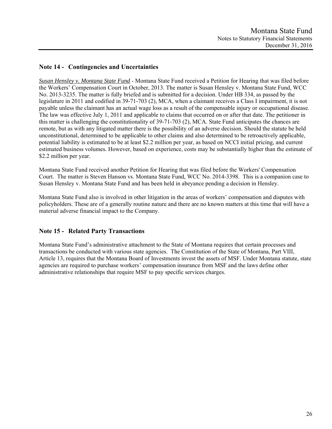# **Note 14 - Contingencies and Uncertainties**

*Susan Hensley v. Montana State Fund* - Montana State Fund received a Petition for Hearing that was filed before the Workers' Compensation Court in October, 2013. The matter is Susan Hensley v. Montana State Fund, WCC No. 2013-3235. The matter is fully briefed and is submitted for a decision. Under HB 334, as passed by the legislature in 2011 and codified in 39-71-703 (2), MCA, when a claimant receives a Class I impairment, it is not payable unless the claimant has an actual wage loss as a result of the compensable injury or occupational disease. The law was effective July 1, 2011 and applicable to claims that occurred on or after that date. The petitioner in this matter is challenging the constitutionality of 39-71-703 (2), MCA. State Fund anticipates the chances are remote, but as with any litigated matter there is the possibility of an adverse decision. Should the statute be held unconstitutional, determined to be applicable to other claims and also determined to be retroactively applicable, potential liability is estimated to be at least \$2.2 million per year, as based on NCCI initial pricing, and current estimated business volumes. However, based on experience, costs may be substantially higher than the estimate of \$2.2 million per year.

Montana State Fund received another Petition for Hearing that was filed before the Workers' Compensation Court. The matter is Steven Hanson vs. Montana State Fund, WCC No. 2014-3398. This is a companion case to Susan Hensley v. Montana State Fund and has been held in abeyance pending a decision in Hensley.

Montana State Fund also is involved in other litigation in the areas of workers' compensation and disputes with policyholders. These are of a generally routine nature and there are no known matters at this time that will have a material adverse financial impact to the Company.

# **Note 15 - Related Party Transactions**

Montana State Fund's administrative attachment to the State of Montana requires that certain processes and transactions be conducted with various state agencies. The Constitution of the State of Montana, Part VIII, Article 13, requires that the Montana Board of Investments invest the assets of MSF. Under Montana statute, state agencies are required to purchase workers' compensation insurance from MSF and the laws define other administrative relationships that require MSF to pay specific services charges.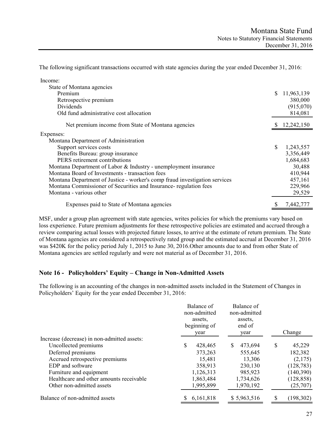The following significant transactions occurred with state agencies during the year ended December 31, 2016:

| Income:                                                                    |    |            |
|----------------------------------------------------------------------------|----|------------|
| State of Montana agencies                                                  |    |            |
| Premium                                                                    | S. | 11,963,139 |
| Retrospective premium                                                      |    | 380,000    |
| Dividends                                                                  |    | (915,070)  |
| Old fund administrative cost allocation                                    |    | 814,081    |
| Net premium income from State of Montana agencies                          |    | 12,242,150 |
| Expenses:                                                                  |    |            |
| Montana Department of Administration                                       |    |            |
| Support services costs                                                     | \$ | 1,243,557  |
| Benefits Bureau: group insurance                                           |    | 3,356,449  |
| PERS retirement contributions                                              |    | 1,684,683  |
| Montana Department of Labor & Industry - unemployment insurance            |    | 30,488     |
| Montana Board of Investments - transaction fees                            |    | 410,944    |
| Montana Department of Justice - worker's comp fraud investigation services |    | 457,161    |
| Montana Commissioner of Securities and Insurance- regulation fees          |    | 229,966    |
| Montana - various other                                                    |    | 29,529     |
| Expenses paid to State of Montana agencies                                 | \$ | 7,442,777  |

MSF, under a group plan agreement with state agencies, writes policies for which the premiums vary based on loss experience. Future premium adjustments for these retrospective policies are estimated and accrued through a review comparing actual losses with projected future losses, to arrive at the estimate of return premium. The State of Montana agencies are considered a retrospectively rated group and the estimated accrual at December 31, 2016 was \$420K for the policy period July 1, 2015 to June 30, 2016.Other amounts due to and from other State of Montana agencies are settled regularly and were not material as of December 31, 2016.

# **Note 16 - Policyholders' Equity – Change in Non-Admitted Assets**

The following is an accounting of the changes in non-admitted assets included in the Statement of Changes in Policyholders' Equity for the year ended December 31, 2016:

|                                             | Balance of<br>non-admitted<br>assets.<br>beginning of<br>year | Balance of<br>non-admitted<br>assets,<br>end of<br>year | Change      |
|---------------------------------------------|---------------------------------------------------------------|---------------------------------------------------------|-------------|
| Increase (decrease) in non-admitted assets: |                                                               |                                                         |             |
| Uncollected premiums                        | \$.<br>428,465                                                | 473,694<br>S                                            | S<br>45,229 |
| Deferred premiums                           | 373,263                                                       | 555,645                                                 | 182,382     |
| Accrued retrospective premiums              | 15,481                                                        | 13,306                                                  | (2,175)     |
| EDP and software                            | 358,913                                                       | 230,130                                                 | (128, 783)  |
| Furniture and equipment                     | 1,126,313                                                     | 985,923                                                 | (140, 390)  |
| Healthcare and other amounts receivable     | 1,863,484                                                     | 1,734,626                                               | (128, 858)  |
| Other non-admitted assets                   | 1,995,899                                                     | 1,970,192                                               | (25,707)    |
| Balance of non-admitted assets              | 6,161,818                                                     | \$5,963,516                                             | (198, 302)  |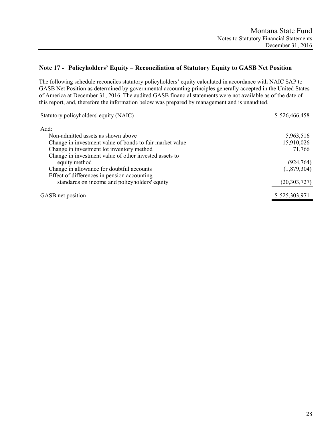# **Note 17 - Policyholders' Equity – Reconciliation of Statutory Equity to GASB Net Position**

The following schedule reconciles statutory policyholders' equity calculated in accordance with NAIC SAP to GASB Net Position as determined by governmental accounting principles generally accepted in the United States of America at December 31, 2016. The audited GASB financial statements were not available as of the date of this report, and, therefore the information below was prepared by management and is unaudited.

| Statutory policyholders' equity (NAIC)                   | \$526,466,458  |
|----------------------------------------------------------|----------------|
| Add:                                                     |                |
| Non-admitted assets as shown above                       | 5,963,516      |
| Change in investment value of bonds to fair market value | 15,910,026     |
| Change in investment lot inventory method                | 71,766         |
| Change in investment value of other invested assets to   |                |
| equity method                                            | (924, 764)     |
| Change in allowance for doubtful accounts                | (1,879,304)    |
| Effect of differences in pension accounting              |                |
| standards on income and policyholders' equity            | (20, 303, 727) |
| GASB net position                                        | \$525,303,971  |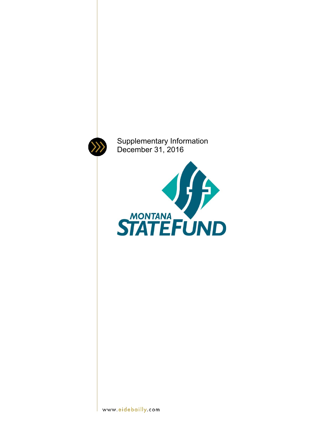

Supplementary Information December 31, 2016

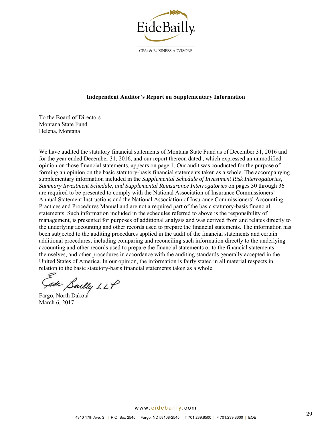

CPAs & BUSINESS ADVISORS

#### **Independent Auditor's Report on Supplementary Information**

To the Board of Directors Montana State Fund Helena, Montana

We have audited the statutory financial statements of Montana State Fund as of December 31, 2016 and for the year ended December 31, 2016, and our report thereon dated , which expressed an unmodified opinion on those financial statements, appears on page 1. Our audit was conducted for the purpose of forming an opinion on the basic statutory-basis financial statements taken as a whole. The accompanying supplementary information included in the *Supplemental Schedule of Investment Risk Interrogatories*, *Summary Investment Schedule, and Supplemental Reinsurance Interrogatories* on pages 30 through 36 are required to be presented to comply with the National Association of Insurance Commissioners' Annual Statement Instructions and the National Association of Insurance Commissioners' Accounting Practices and Procedures Manual and are not a required part of the basic statutory-basis financial statements. Such information included in the schedules referred to above is the responsibility of management, is presented for purposes of additional analysis and was derived from and relates directly to the underlying accounting and other records used to prepare the financial statements. The information has been subjected to the auditing procedures applied in the audit of the financial statements and certain additional procedures, including comparing and reconciling such information directly to the underlying accounting and other records used to prepare the financial statements or to the financial statements themselves, and other procedures in accordance with the auditing standards generally accepted in the United States of America. In our opinion, the information is fairly stated in all material respects in relation to the basic statutory-basis financial statements taken as a whole.

sde Sailly LLP

Fargo, North Dakota March 6, 2017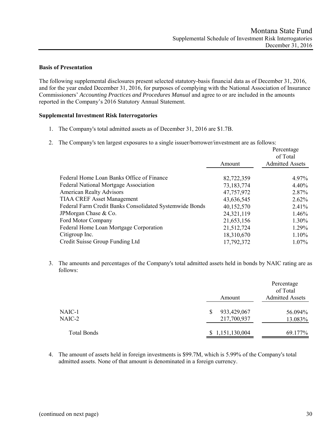### **Basis of Presentation**

The following supplemental disclosures present selected statutory-basis financial data as of December 31, 2016, and for the year ended December 31, 2016, for purposes of complying with the National Association of Insurance Commissioners' *Accounting Practices and Procedures Manual* and agree to or are included in the amounts reported in the Company's 2016 Statutory Annual Statement.

#### **Supplemental Investment Risk Interrogatories**

- 1. The Company's total admitted assets as of December 31, 2016 are \$1.7B.
- 2. The Company's ten largest exposures to a single issuer/borrower/investment are as follows:

|                                                         |            | Percentage<br>of Total |  |  |
|---------------------------------------------------------|------------|------------------------|--|--|
|                                                         | Amount     | <b>Admitted Assets</b> |  |  |
| Federal Home Loan Banks Office of Finance               | 82,722,359 | 4.97%                  |  |  |
| <b>Federal National Mortgage Association</b>            | 73,183,774 | 4.40%                  |  |  |
| <b>American Realty Advisors</b>                         | 47,757,972 | 2.87%                  |  |  |
| <b>TIAA CREF Asset Management</b>                       | 43,636,545 | $2.62\%$               |  |  |
| Federal Farm Credit Banks Consolidated Systemwide Bonds | 40,152,570 | 2.41%                  |  |  |
| JPM organ Chase & Co.                                   | 24,321,119 | 1.46%                  |  |  |
| Ford Motor Company                                      | 21,653,156 | 1.30%                  |  |  |
| Federal Home Loan Mortgage Corporation                  | 21,512,724 | 1.29%                  |  |  |
| Citigroup Inc.                                          | 18,310,670 | $1.10\%$               |  |  |
| Credit Suisse Group Funding Ltd                         | 17,792,372 | $1.07\%$               |  |  |

3. The amounts and percentages of the Company's total admitted assets held in bonds by NAIC rating are as follows:

|             | Amount          | Percentage<br>of Total<br><b>Admitted Assets</b> |  |
|-------------|-----------------|--------------------------------------------------|--|
| NAIC-1      | 933,429,067     | 56.094%                                          |  |
| NAIC-2      | 217,700,937     | 13.083%                                          |  |
| Total Bonds | \$1,151,130,004 | 69.177%                                          |  |

4. The amount of assets held in foreign investments is \$99.7M, which is 5.99% of the Company's total admitted assets. None of that amount is denominated in a foreign currency.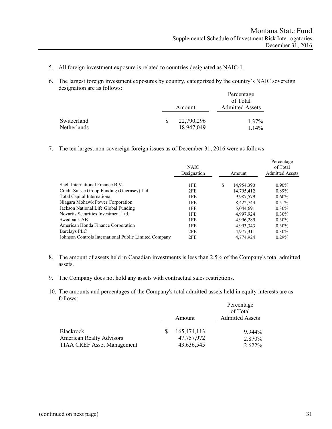- 5. All foreign investment exposure is related to countries designated as NAIC-1.
- 6. The largest foreign investment exposures by country, categorized by the country's NAIC sovereign designation are as follows:

|                            |    |                          | Percentage<br>of Total |  |
|----------------------------|----|--------------------------|------------------------|--|
|                            |    | Amount                   | <b>Admitted Assets</b> |  |
| Switzerland<br>Netherlands | -S | 22,790,296<br>18,947,049 | 1.37%<br>$1.14\%$      |  |

7. The ten largest non-sovereign foreign issues as of December 31, 2016 were as follows:

|                                                       | <b>NAIC</b><br>Designation |   | Amount     | Percentage<br>of Total<br><b>Admitted Assets</b> |
|-------------------------------------------------------|----------------------------|---|------------|--------------------------------------------------|
|                                                       |                            |   |            |                                                  |
| Shell International Finance B.V.                      | 1FE                        | S | 14,954,390 | $0.90\%$                                         |
| Credit Suisse Group Funding (Guernsey) Ltd            | 2FE                        |   | 14,795,412 | 0.89%                                            |
| Total Capital International                           | 1FE                        |   | 9.987.579  | $0.60\%$                                         |
| Niagara Mohawk Power Corporation                      | 1FE                        |   | 8,422,744  | 0.51%                                            |
| Jackson National Life Global Funding                  | 1FE                        |   | 5,044,691  | $0.30\%$                                         |
| Novartis Securities Investment Ltd.                   | 1FE                        |   | 4,997,924  | $0.30\%$                                         |
| Swedbank AB                                           | 1FE                        |   | 4.996.289  | $0.30\%$                                         |
| American Honda Finance Corporation                    | 1FE                        |   | 4,993,343  | $0.30\%$                                         |
| Barclays PLC                                          | 2FE                        |   | 4.977.311  | $0.30\%$                                         |
| Johnson Controls International Public Limited Company | 2FE                        |   | 4.774.924  | 0.29%                                            |

- 8. The amount of assets held in Canadian investments is less than 2.5% of the Company's total admitted assets.
- 9. The Company does not hold any assets with contractual sales restrictions.
- 10. The amounts and percentages of the Company's total admitted assets held in equity interests are as follows:

|                                   |  | Amount      | Percentage<br>of Total<br><b>Admitted Assets</b> |  |  |
|-----------------------------------|--|-------------|--------------------------------------------------|--|--|
| Blackrock                         |  | 165,474,113 | $9.944\%$                                        |  |  |
| <b>American Realty Advisors</b>   |  | 47,757,972  | 2.870%                                           |  |  |
| <b>TIAA CREF Asset Management</b> |  | 43,636,545  | $2.622\%$                                        |  |  |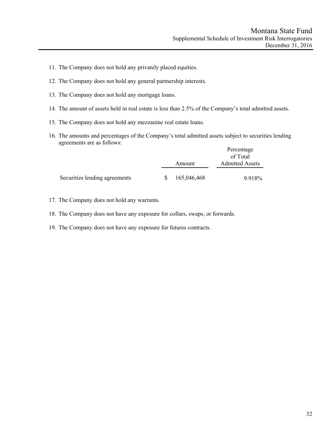- 11. The Company does not hold any privately placed equities.
- 12. The Company does not hold any general partnership interests.
- 13. The Company does not hold any mortgage loans.
- 14. The amount of assets held in real estate is less than 2.5% of the Company's total admitted assets.
- 15. The Company does not hold any mezzanine real estate loans.
- 16. The amounts and percentages of the Company's total admitted assets subject to securities lending agreements are as follows:  $D$ <sub>argantage</sub>

|                               |     |             | <b>Percentage</b><br>of Total |  |  |
|-------------------------------|-----|-------------|-------------------------------|--|--|
|                               |     | Amount      | <b>Admitted Assets</b>        |  |  |
| Securities lending agreements | -SS | 165,046,468 | 9.918%                        |  |  |

- 17. The Company does not hold any warrants.
- 18. The Company does not have any exposure for collars, swaps, or forwards.
- 19. The Company does not have any exposure for futures contracts.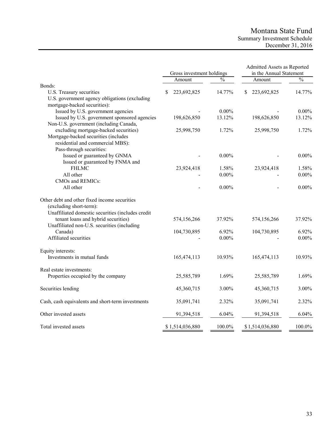# Montana State Fund Summary Investment Schedule December 31, 2016

|                                                   | Gross investment holdings |                 | Admitted Assets as Reported<br>in the Annual Statement |  |                 |               |
|---------------------------------------------------|---------------------------|-----------------|--------------------------------------------------------|--|-----------------|---------------|
|                                                   |                           | Amount          | $\frac{0}{0}$                                          |  | Amount          | $\frac{0}{0}$ |
| Bonds:                                            |                           |                 |                                                        |  |                 |               |
| U.S. Treasury securities                          | S                         | 223,692,825     | 14.77%                                                 |  | 223,692,825     | 14.77%        |
| U.S. government agency obligations (excluding     |                           |                 |                                                        |  |                 |               |
| mortgage-backed securities):                      |                           |                 |                                                        |  |                 |               |
| Issued by U.S. government agencies                |                           |                 | $0.00\%$                                               |  |                 | $0.00\%$      |
| Issued by U.S. government sponsored agencies      |                           | 198,626,850     | 13.12%                                                 |  | 198,626,850     | 13.12%        |
| Non-U.S. government (including Canada,            |                           |                 |                                                        |  |                 |               |
| excluding mortgage-backed securities)             |                           | 25,998,750      | 1.72%                                                  |  | 25,998,750      | 1.72%         |
| Mortgage-backed securities (includes              |                           |                 |                                                        |  |                 |               |
| residential and commercial MBS):                  |                           |                 |                                                        |  |                 |               |
| Pass-through securities:                          |                           |                 |                                                        |  |                 |               |
| Issued or guaranteed by GNMA                      |                           |                 | $0.00\%$                                               |  |                 | $0.00\%$      |
| Issued or guaranteed by FNMA and                  |                           |                 |                                                        |  |                 |               |
| <b>FHLMC</b>                                      |                           | 23,924,418      | 1.58%                                                  |  | 23,924,418      | 1.58%         |
| All other                                         |                           |                 | $0.00\%$                                               |  |                 | $0.00\%$      |
| CMOs and REMICs:                                  |                           |                 |                                                        |  |                 |               |
| All other                                         |                           |                 | $0.00\%$                                               |  |                 | $0.00\%$      |
| Other debt and other fixed income securities      |                           |                 |                                                        |  |                 |               |
| (excluding short-term):                           |                           |                 |                                                        |  |                 |               |
| Unaffiliated domestic securities (includes credit |                           |                 |                                                        |  |                 |               |
| tenant loans and hybrid securities)               |                           | 574,156,266     | 37.92%                                                 |  | 574,156,266     | 37.92%        |
| Unaffiliated non-U.S. securities (including       |                           |                 |                                                        |  |                 |               |
| Canada)                                           |                           | 104,730,895     | 6.92%                                                  |  | 104,730,895     | 6.92%         |
| Affiliated securities                             |                           |                 | $0.00\%$                                               |  |                 | $0.00\%$      |
| Equity interests:                                 |                           |                 |                                                        |  |                 |               |
| Investments in mutual funds                       |                           | 165,474,113     | 10.93%                                                 |  | 165,474,113     | 10.93%        |
| Real estate investments:                          |                           |                 |                                                        |  |                 |               |
| Properties occupied by the company                |                           | 25,585,789      | 1.69%                                                  |  | 25,585,789      | 1.69%         |
| Securities lending                                |                           | 45,360,715      | 3.00%                                                  |  | 45,360,715      | 3.00%         |
| Cash, cash equivalents and short-term investments |                           | 35,091,741      | 2.32%                                                  |  | 35,091,741      | 2.32%         |
| Other invested assets                             |                           | 91,394,518      | 6.04%                                                  |  | 91,394,518      | 6.04%         |
| Total invested assets                             |                           | \$1,514,036,880 | 100.0%                                                 |  | \$1,514,036,880 | 100.0%        |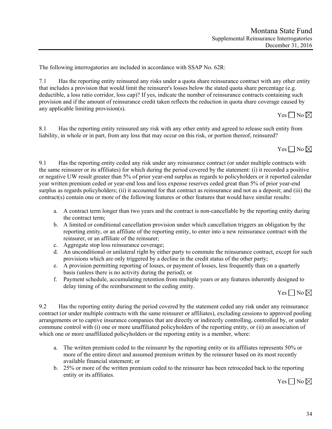The following interrogatories are included in accordance with SSAP No. 62R:

7.1 Has the reporting entity reinsured any risks under a quota share reinsurance contract with any other entity that includes a provision that would limit the reinsurer's losses below the stated quota share percentage (e.g. deductible, a loss ratio corridor, loss cap)? If yes, indicate the number of reinsurance contracts containing such provision and if the amount of reinsurance credit taken reflects the reduction in quota share coverage caused by any applicable limiting provision(s).

Yes  $\neg$  No  $\neg$ 

8.1 Has the reporting entity reinsured any risk with any other entity and agreed to release such entity from liability, in whole or in part, from any loss that may occur on this risk, or portion thereof, reinsured?



9.1 Has the reporting entity ceded any risk under any reinsurance contract (or under multiple contracts with the same reinsurer or its affiliates) for which during the period covered by the statement: (i) it recorded a positive or negative UW result greater than 5% of prior year-end surplus as regards to policyholders or it reported calendar year written premium ceded or year-end loss and loss expense reserves ceded great than 5% of prior year-end surplus as regards policyholders; (ii) it accounted for that contract as reinsurance and not as a deposit; and (iii) the contract(s) contain one or more of the following features or other features that would have similar results:

- a. A contract term longer than two years and the contract is non-cancellable by the reporting entity during the contract term;
- b. A limited or conditional cancellation provision under which cancellation triggers an obligation by the reporting entity, or an affiliate of the reporting entity, to enter into a new reinsurance contract with the reinsurer, or an affiliate of the reinsurer;
- c. Aggregate stop loss reinsurance coverage;
- d. An unconditional or unilateral right by either party to commute the reinsurance contract, except for such provisions which are only triggered by a decline in the credit status of the other party;
- e. A provision permitting reporting of losses, or payment of losses, less frequently than on a quarterly basis (unless there is no activity during the period); or
- f. Payment schedule, accumulating retention from multiple years or any features inherently designed to delay timing of the reimbursement to the ceding entity.

Yes  $\neg$  No  $\neg$ 

9.2 Has the reporting entity during the period covered by the statement ceded any risk under any reinsurance contract (or under multiple contracts with the same reinsurer or affiliates), excluding cessions to approved pooling arrangements or to captive insurance companies that are directly or indirectly controlling, controlled by, or under commune control with (i) one or more unaffiliated policyholders of the reporting entity, or (ii) an association of which one or more unaffiliated policyholders or the reporting entity is a member, where:

- a. The written premium ceded to the reinsurer by the reporting entity or its affiliates represents 50% or more of the entire direct and assumed premium written by the reinsurer based on its most recently available financial statement; or
- b. 25% or more of the written premium ceded to the reinsurer has been retroceded back to the reporting entity or its affiliates.

Yes  $\Box$  No  $\boxtimes$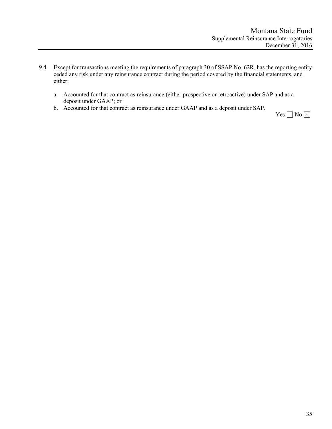- 9.4 Except for transactions meeting the requirements of paragraph 30 of SSAP No. 62R, has the reporting entity ceded any risk under any reinsurance contract during the period covered by the financial statements, and either:
	- a. Accounted for that contract as reinsurance (either prospective or retroactive) under SAP and as a deposit under GAAP; or
	- b. Accounted for that contract as reinsurance under GAAP and as a deposit under SAP.

Yes $\Box$  No  $\boxtimes$